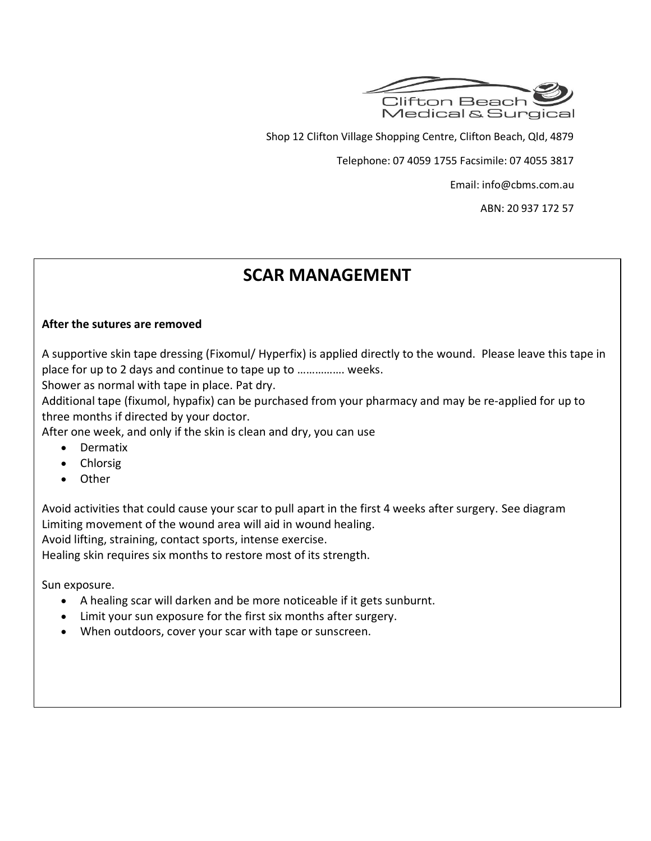

Shop 12 Clifton Village Shopping Centre, Clifton Beach, Qld, 4879

Telephone: 07 4059 1755 Facsimile: 07 4055 3817

Email: info@cbms.com.au

ABN: 20 937 172 57

# **SCAR MANAGEMENT**

### **After the sutures are removed**

A supportive skin tape dressing (Fixomul/ Hyperfix) is applied directly to the wound. Please leave this tape in place for up to 2 days and continue to tape up to ……………. weeks.

Shower as normal with tape in place. Pat dry.

Additional tape (fixumol, hypafix) can be purchased from your pharmacy and may be re-applied for up to three months if directed by your doctor.

After one week, and only if the skin is clean and dry, you can use

- Dermatix
- Chlorsig
- Other

Avoid activities that could cause your scar to pull apart in the first 4 weeks after surgery. See diagram Limiting movement of the wound area will aid in wound healing.

Avoid lifting, straining, contact sports, intense exercise.

Healing skin requires six months to restore most of its strength.

Sun exposure.

- A healing scar will darken and be more noticeable if it gets sunburnt.
- Limit your sun exposure for the first six months after surgery.
- When outdoors, cover your scar with tape or sunscreen.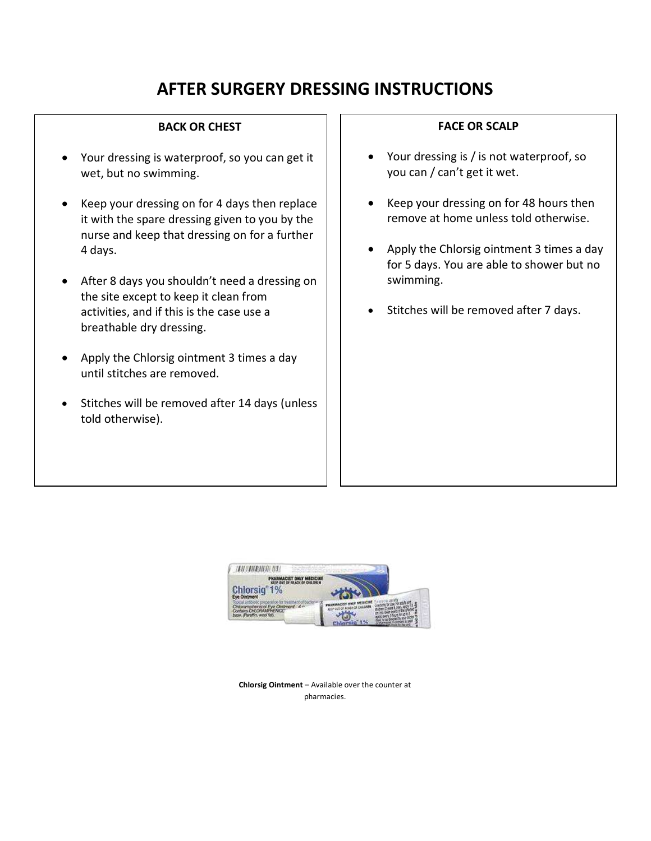# **AFTER SURGERY DRESSING INSTRUCTIONS**

#### **BACK OR CHEST**

- Your dressing is waterproof, so you can get it wet, but no swimming.
- Keep your dressing on for 4 days then replace it with the spare dressing given to you by the nurse and keep that dressing on for a further 4 days.
- After 8 days you shouldn't need a dressing on the site except to keep it clean from activities, and if this is the case use a breathable dry dressing.
- Apply the Chlorsig ointment 3 times a day until stitches are removed.
- Stitches will be removed after 14 days (unless told otherwise).

#### **FACE OR SCALP**

- Your dressing is / is not waterproof, so you can / can't get it wet.
- Keep your dressing on for 48 hours then remove at home unless told otherwise.
- Apply the Chlorsig ointment 3 times a day for 5 days. You are able to shower but no swimming.
- Stitches will be removed after 7 days.



**Chlorsig Ointment** – Available over the counter at pharmacies.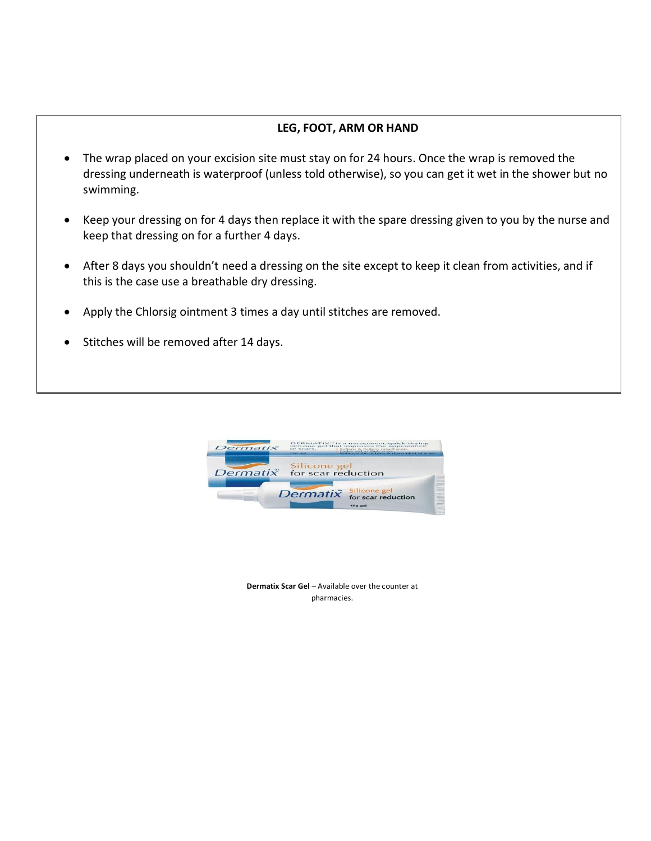### **LEG, FOOT, ARM OR HAND**

- The wrap placed on your excision site must stay on for 24 hours. Once the wrap is removed the dressing underneath is waterproof (unless told otherwise), so you can get it wet in the shower but no swimming.
- Keep your dressing on for 4 days then replace it with the spare dressing given to you by the nurse and keep that dressing on for a further 4 days.
- After 8 days you shouldn't need a dressing on the site except to keep it clean from activities, and if this is the case use a breathable dry dressing.
- Apply the Chlorsig ointment 3 times a day until stitches are removed.
- Stitches will be removed after 14 days.



**Dermatix Scar Gel - Available over the counter at** pharmacies.